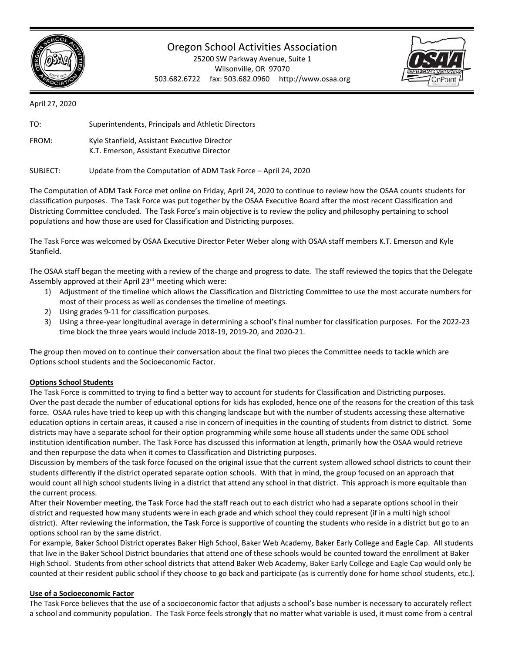

## Oregon School Activities Association

25200 SW Parkway Avenue, Suite 1 Wilsonville, OR 97070 503.682.6722 fax: 503.682.0960 http://www.osaa.org



April 27, 2020



The Computation of ADM Task Force met online on Friday, April 24, 2020 to continue to review how the OSAA counts students for classification purposes. The Task Force was put together by the OSAA Executive Board after the most recent Classification and Districting Committee concluded. The Task Force's main objective is to review the policy and philosophy pertaining to school populations and how those are used for Classification and Districting purposes.

The Task Force was welcomed by OSAA Executive Director Peter Weber along with OSAA staff members K.T. Emerson and Kyle Stanfield.

The OSAA staff began the meeting with a review of the charge and progress to date. The staff reviewed the topics that the Delegate Assembly approved at their April 23rd meeting which were:

- 1) Adjustment of the timeline which allows the Classification and Districting Committee to use the most accurate numbers for most of their process as well as condenses the timeline of meetings.
- 2) Using grades 9‐11 for classification purposes.
- 3) Using a three‐year longitudinal average in determining a school's final number for classification purposes. For the 2022‐23 time block the three years would include 2018‐19, 2019‐20, and 2020‐21.

The group then moved on to continue their conversation about the final two pieces the Committee needs to tackle which are Options school students and the Socioeconomic Factor.

## **Options School Students**

The Task Force is committed to trying to find a better way to account for students for Classification and Districting purposes. Over the past decade the number of educational options for kids has exploded, hence one of the reasons for the creation of this task force. OSAA rules have tried to keep up with this changing landscape but with the number of students accessing these alternative education options in certain areas, it caused a rise in concern of inequities in the counting of students from district to district. Some districts may have a separate school for their option programming while some house all students under the same ODE school institution identification number. The Task Force has discussed this information at length, primarily how the OSAA would retrieve and then repurpose the data when it comes to Classification and Districting purposes.

Discussion by members of the task force focused on the original issue that the current system allowed school districts to count their students differently if the district operated separate option schools. With that in mind, the group focused on an approach that would count all high school students living in a district that attend any school in that district. This approach is more equitable than the current process.

After their November meeting, the Task Force had the staff reach out to each district who had a separate options school in their district and requested how many students were in each grade and which school they could represent (if in a multi high school district). After reviewing the information, the Task Force is supportive of counting the students who reside in a district but go to an options school ran by the same district.

For example, Baker School District operates Baker High School, Baker Web Academy, Baker Early College and Eagle Cap. All students that live in the Baker School District boundaries that attend one of these schools would be counted toward the enrollment at Baker High School. Students from other school districts that attend Baker Web Academy, Baker Early College and Eagle Cap would only be counted at their resident public school if they choose to go back and participate (as is currently done for home school students, etc.).

## **Use of a Socioeconomic Factor**

The Task Force believes that the use of a socioeconomic factor that adjusts a school's base number is necessary to accurately reflect a school and community population. The Task Force feels strongly that no matter what variable is used, it must come from a central